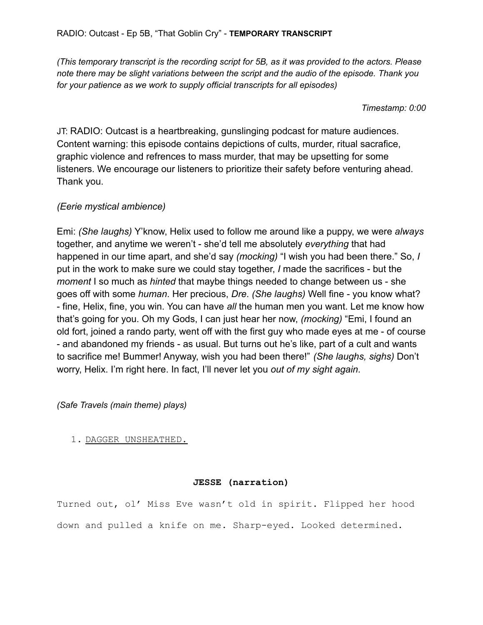*(This temporary transcript is the recording script for 5B, as it was provided to the actors. Please note there may be slight variations between the script and the audio of the episode. Thank you for your patience as we work to supply official transcripts for all episodes)*

*Timestamp: 0:00*

JT: RADIO: Outcast is a heartbreaking, gunslinging podcast for mature audiences. Content warning: this episode contains depictions of cults, murder, ritual sacrafice, graphic violence and refrences to mass murder, that may be upsetting for some listeners. We encourage our listeners to prioritize their safety before venturing ahead. Thank you.

# *(Eerie mystical ambience)*

Emi: *(She laughs)* Y'know, Helix used to follow me around like a puppy, we were *always* together, and anytime we weren't - she'd tell me absolutely *everything* that had happened in our time apart, and she'd say *(mocking)* "I wish you had been there." So, *I* put in the work to make sure we could stay together, *I* made the sacrifices - but the *moment* I so much as *hinted* that maybe things needed to change between us - she goes off with some *human*. Her precious, *Dre*. *(She laughs)* Well fine - you know what? - fine, Helix, fine, you win. You can have *all* the human men you want. Let me know how that's going for you. Oh my Gods, I can just hear her now, *(mocking)* "Emi, I found an old fort, joined a rando party, went off with the first guy who made eyes at me - of course - and abandoned my friends - as usual. But turns out he's like, part of a cult and wants to sacrifice me! Bummer! Anyway, wish you had been there!" *(She laughs, sighs)* Don't worry, Helix. I'm right here. In fact, I'll never let you *out of my sight again*.

*(Safe Travels (main theme) plays)*

1. DAGGER UNSHEATHED.

# **JESSE (narration)**

Turned out, ol' Miss Eve wasn't old in spirit. Flipped her hood down and pulled a knife on me. Sharp-eyed. Looked determined.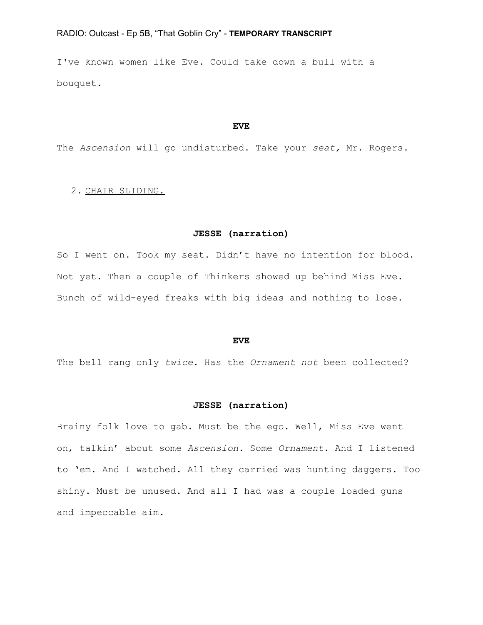I've known women like Eve. Could take down a bull with a bouquet.

#### **EVE**

The *Ascension* will go undisturbed. Take your *seat,* Mr. Rogers.

## 2. CHAIR SLIDING.

#### **JESSE (narration)**

So I went on. Took my seat. Didn't have no intention for blood. Not yet. Then a couple of Thinkers showed up behind Miss Eve. Bunch of wild-eyed freaks with big ideas and nothing to lose.

#### **EVE**

The bell rang only *twice*. Has the *Ornament not* been collected?

### **JESSE (narration)**

Brainy folk love to gab. Must be the ego. Well, Miss Eve went on, talkin' about some *Ascension*. Some *Ornament*. And I listened to 'em. And I watched. All they carried was hunting daggers. Too shiny. Must be unused. And all I had was a couple loaded guns and impeccable aim.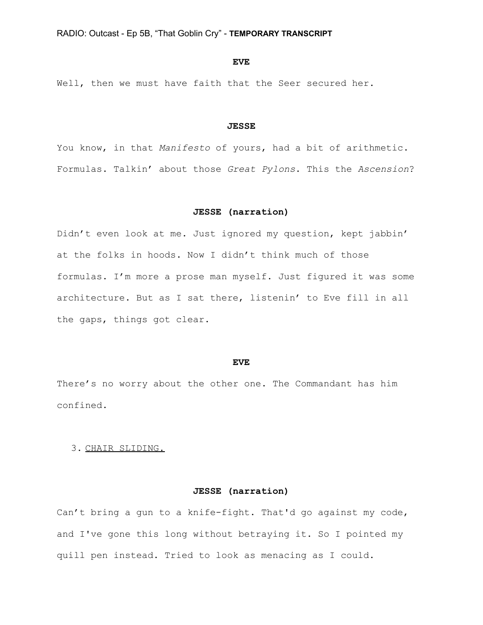#### **EVE**

Well, then we must have faith that the Seer secured her.

#### **JESSE**

You know, in that *Manifesto* of yours, had a bit of arithmetic. Formulas. Talkin' about those *Great Pylons*. This the *Ascension*?

#### **JESSE (narration)**

Didn't even look at me. Just ignored my question, kept jabbin' at the folks in hoods. Now I didn't think much of those formulas. I'm more a prose man myself. Just figured it was some architecture. But as I sat there, listenin' to Eve fill in all the gaps, things got clear.

#### **EVE**

There's no worry about the other one. The Commandant has him confined.

### 3. CHAIR SLIDING.

## **JESSE (narration)**

Can't bring a gun to a knife-fight. That'd go against my code, and I've gone this long without betraying it. So I pointed my quill pen instead. Tried to look as menacing as I could.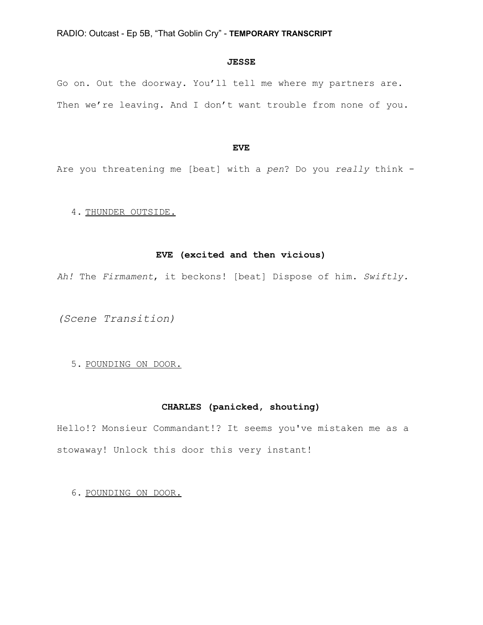## **JESSE**

Go on. Out the doorway. You'll tell me where my partners are. Then we're leaving. And I don't want trouble from none of you.

### **EVE**

Are you threatening me [beat] with a *pen*? Do you *really* think -

4. THUNDER OUTSIDE.

## **EVE (excited and then vicious)**

*Ah!* The *Firmament*, it beckons! [beat] Dispose of him. *Swiftly.*

*(Scene Transition)*

5. POUNDING ON DOOR.

# **CHARLES (panicked, shouting)**

Hello!? Monsieur Commandant!? It seems you've mistaken me as a stowaway! Unlock this door this very instant!

6. POUNDING ON DOOR.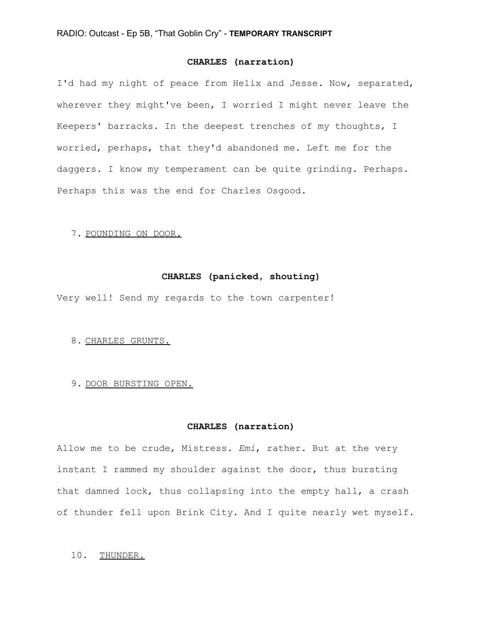## **CHARLES (narration)**

I'd had my night of peace from Helix and Jesse. Now, separated, wherever they might've been, I worried I might never leave the Keepers' barracks. In the deepest trenches of my thoughts, I worried, perhaps, that they'd abandoned me. Left me for the daggers. I know my temperament can be quite grinding. Perhaps. Perhaps this was the end for Charles Osgood.

### 7. POUNDING ON DOOR.

## **CHARLES (panicked, shouting)**

Very well! Send my regards to the town carpenter!

### 8. CHARLES GRUNTS.

#### 9. DOOR BURSTING OPEN.

### **CHARLES (narration)**

Allow me to be crude, Mistress. *Emi*, rather. But at the very instant I rammed my shoulder against the door, thus bursting that damned lock, thus collapsing into the empty hall, a crash of thunder fell upon Brink City. And I quite nearly wet myself.

## 10. THUNDER.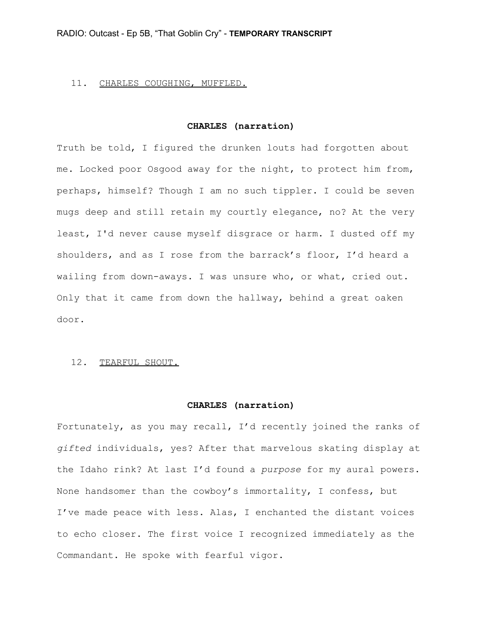#### 11. CHARLES COUGHING, MUFFLED.

## **CHARLES (narration)**

Truth be told, I figured the drunken louts had forgotten about me. Locked poor Osgood away for the night, to protect him from, perhaps, himself? Though I am no such tippler. I could be seven mugs deep and still retain my courtly elegance, no? At the very least, I'd never cause myself disgrace or harm. I dusted off my shoulders, and as I rose from the barrack's floor, I'd heard a wailing from down-aways. I was unsure who, or what, cried out. Only that it came from down the hallway, behind a great oaken door.

#### 12. TEARFUL SHOUT.

#### **CHARLES (narration)**

Fortunately, as you may recall, I'd recently joined the ranks of *gifted* individuals, yes? After that marvelous skating display at the Idaho rink? At last I'd found a *purpose* for my aural powers. None handsomer than the cowboy's immortality, I confess, but I've made peace with less. Alas, I enchanted the distant voices to echo closer. The first voice I recognized immediately as the Commandant. He spoke with fearful vigor.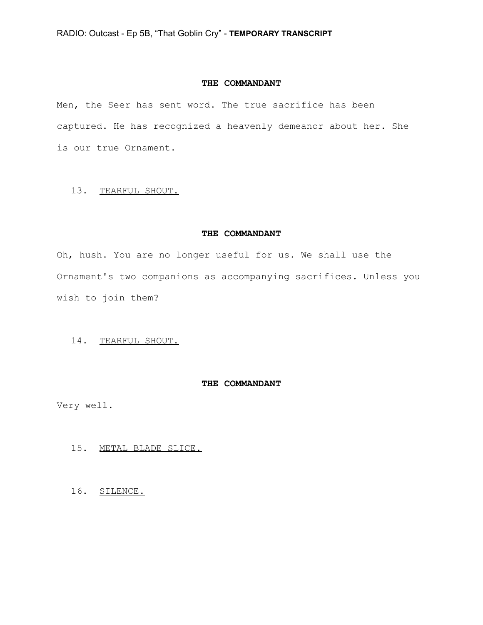### **THE COMMANDANT**

Men, the Seer has sent word. The true sacrifice has been captured. He has recognized a heavenly demeanor about her. She is our true Ornament.

## 13. TEARFUL SHOUT.

#### **THE COMMANDANT**

Oh, hush. You are no longer useful for us. We shall use the Ornament's two companions as accompanying sacrifices. Unless you wish to join them?

## 14. TEARFUL SHOUT.

#### **THE COMMANDANT**

Very well.

## 15. METAL BLADE SLICE.

16. SILENCE.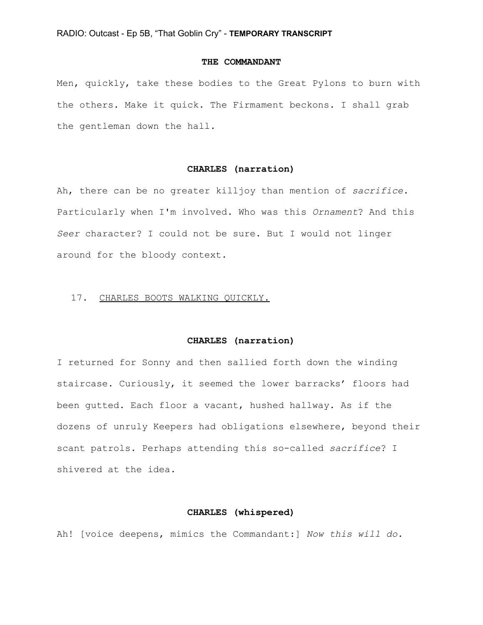### **THE COMMANDANT**

Men, quickly, take these bodies to the Great Pylons to burn with the others. Make it quick. The Firmament beckons. I shall grab the gentleman down the hall.

## **CHARLES (narration)**

Ah, there can be no greater killjoy than mention of *sacrifice*. Particularly when I'm involved. Who was this *Ornament*? And this *Seer* character? I could not be sure. But I would not linger around for the bloody context.

### 17. CHARLES BOOTS WALKING QUICKLY.

#### **CHARLES (narration)**

I returned for Sonny and then sallied forth down the winding staircase. Curiously, it seemed the lower barracks' floors had been gutted. Each floor a vacant, hushed hallway. As if the dozens of unruly Keepers had obligations elsewhere, beyond their scant patrols. Perhaps attending this so-called *sacrifice*? I shivered at the idea.

## **CHARLES (whispered)**

Ah! [voice deepens, mimics the Commandant:] *Now this will do.*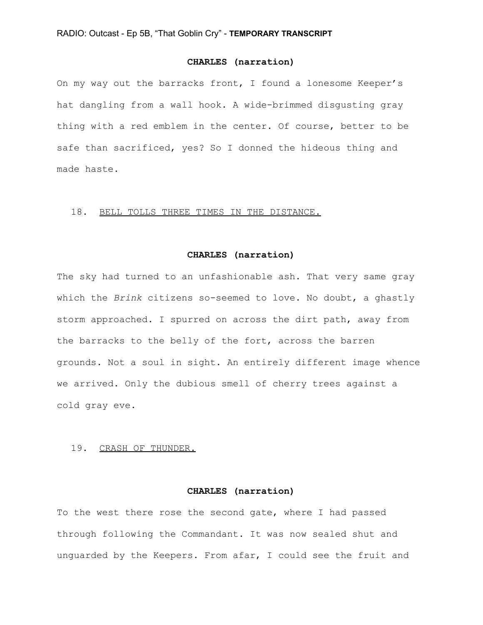## **CHARLES (narration)**

On my way out the barracks front, I found a lonesome Keeper's hat dangling from a wall hook. A wide-brimmed disgusting gray thing with a red emblem in the center. Of course, better to be safe than sacrificed, yes? So I donned the hideous thing and made haste.

## 18. BELL TOLLS THREE TIMES IN THE DISTANCE.

#### **CHARLES (narration)**

The sky had turned to an unfashionable ash. That very same gray which the *Brink* citizens so-seemed to love. No doubt, a ghastly storm approached. I spurred on across the dirt path, away from the barracks to the belly of the fort, across the barren grounds. Not a soul in sight. An entirely different image whence we arrived. Only the dubious smell of cherry trees against a cold gray eve.

#### 19. CRASH OF THUNDER.

## **CHARLES (narration)**

To the west there rose the second gate, where I had passed through following the Commandant. It was now sealed shut and unguarded by the Keepers. From afar, I could see the fruit and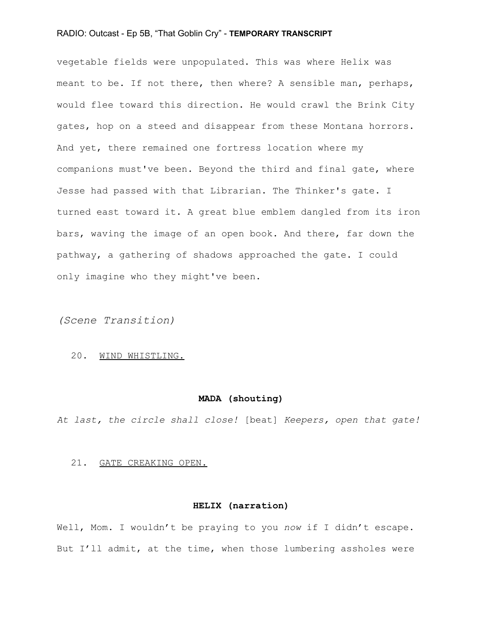vegetable fields were unpopulated. This was where Helix was meant to be. If not there, then where? A sensible man, perhaps, would flee toward this direction. He would crawl the Brink City gates, hop on a steed and disappear from these Montana horrors. And yet, there remained one fortress location where my companions must've been. Beyond the third and final gate, where Jesse had passed with that Librarian. The Thinker's gate. I turned east toward it. A great blue emblem dangled from its iron bars, waving the image of an open book. And there, far down the pathway, a gathering of shadows approached the gate. I could only imagine who they might've been.

*(Scene Transition)*

## 20. WIND WHISTLING.

#### **MADA (shouting)**

*At last, the circle shall close!* [beat] *Keepers, open that gate!*

#### 21. GATE CREAKING OPEN.

### **HELIX (narration)**

Well, Mom. I wouldn't be praying to you *now* if I didn't escape. But I'll admit, at the time, when those lumbering assholes were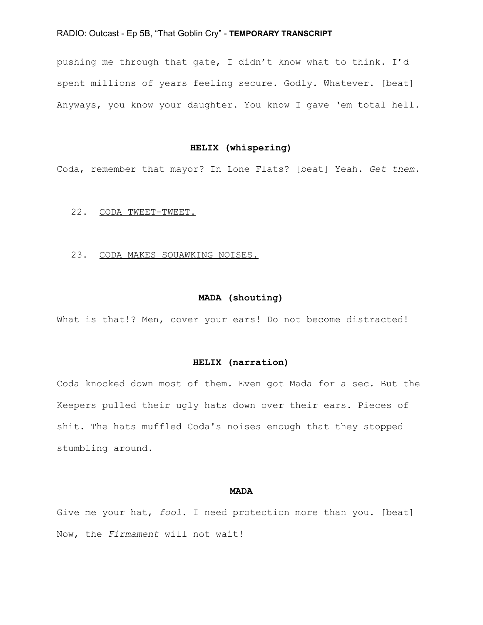pushing me through that gate, I didn't know what to think. I'd spent millions of years feeling secure. Godly. Whatever. [beat] Anyways, you know your daughter. You know I gave 'em total hell.

## **HELIX (whispering)**

Coda, remember that mayor? In Lone Flats? [beat] Yeah. *Get them.*

### 22. CODA TWEET-TWEET.

23. CODA MAKES SOUAWKING NOISES.

#### **MADA (shouting)**

What is that!? Men, cover your ears! Do not become distracted!

## **HELIX (narration)**

Coda knocked down most of them. Even got Mada for a sec. But the Keepers pulled their ugly hats down over their ears. Pieces of shit. The hats muffled Coda's noises enough that they stopped stumbling around.

#### **MADA**

Give me your hat, *fool*. I need protection more than you. [beat] Now, the *Firmament* will not wait!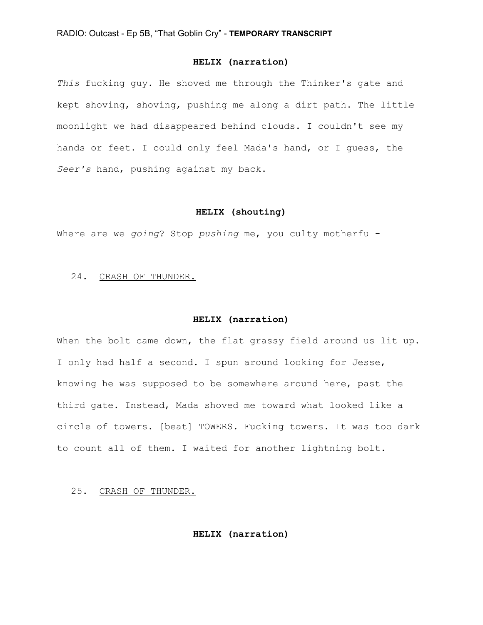## **HELIX (narration)**

*This* fucking guy. He shoved me through the Thinker's gate and kept shoving, shoving, pushing me along a dirt path. The little moonlight we had disappeared behind clouds. I couldn't see my hands or feet. I could only feel Mada's hand, or I guess, the *Seer's* hand, pushing against my back.

#### **HELIX (shouting)**

Where are we *going*? Stop *pushing* me, you culty motherfu -

#### 24. CRASH OF THUNDER.

#### **HELIX (narration)**

When the bolt came down, the flat grassy field around us lit up. I only had half a second. I spun around looking for Jesse, knowing he was supposed to be somewhere around here, past the third gate. Instead, Mada shoved me toward what looked like a circle of towers. [beat] TOWERS. Fucking towers. It was too dark to count all of them. I waited for another lightning bolt.

25. CRASH OF THUNDER.

**HELIX (narration)**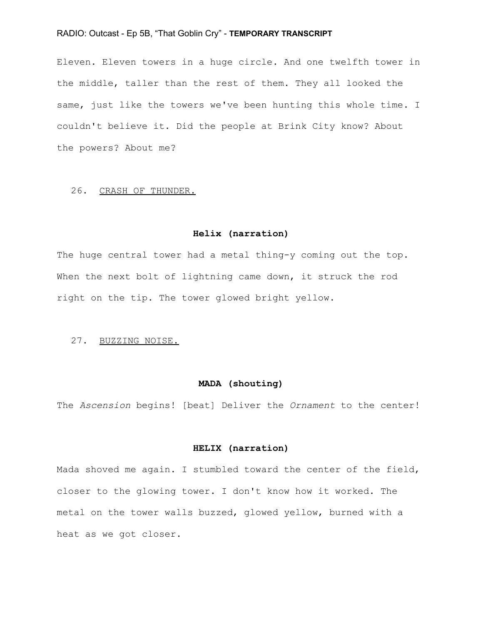Eleven. Eleven towers in a huge circle. And one twelfth tower in the middle, taller than the rest of them. They all looked the same, just like the towers we've been hunting this whole time. I couldn't believe it. Did the people at Brink City know? About the powers? About me?

## 26. CRASH OF THUNDER.

#### **Helix (narration)**

The huge central tower had a metal thing-y coming out the top. When the next bolt of lightning came down, it struck the rod right on the tip. The tower glowed bright yellow.

## 27. BUZZING NOISE.

#### **MADA (shouting)**

The *Ascension* begins! [beat] Deliver the *Ornament* to the center!

#### **HELIX (narration)**

Mada shoved me again. I stumbled toward the center of the field, closer to the glowing tower. I don't know how it worked. The metal on the tower walls buzzed, glowed yellow, burned with a heat as we got closer.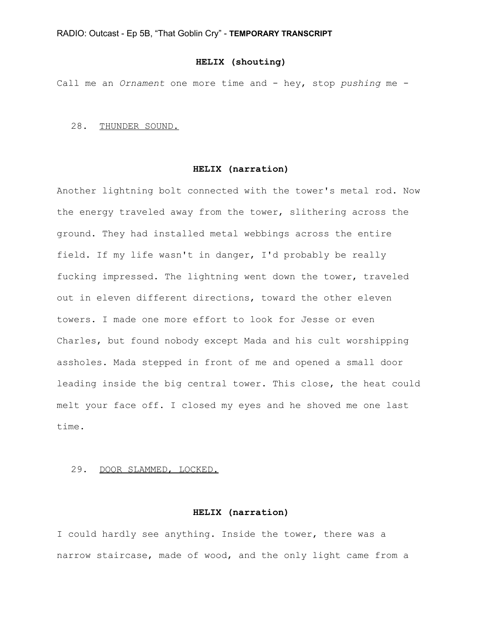## **HELIX (shouting)**

Call me an *Ornament* one more time and - hey, stop *pushing* me -

### 28. THUNDER SOUND.

## **HELIX (narration)**

Another lightning bolt connected with the tower's metal rod. Now the energy traveled away from the tower, slithering across the ground. They had installed metal webbings across the entire field. If my life wasn't in danger, I'd probably be really fucking impressed. The lightning went down the tower, traveled out in eleven different directions, toward the other eleven towers. I made one more effort to look for Jesse or even Charles, but found nobody except Mada and his cult worshipping assholes. Mada stepped in front of me and opened a small door leading inside the big central tower. This close, the heat could melt your face off. I closed my eyes and he shoved me one last time.

### 29. DOOR SLAMMED, LOCKED.

## **HELIX (narration)**

I could hardly see anything. Inside the tower, there was a narrow staircase, made of wood, and the only light came from a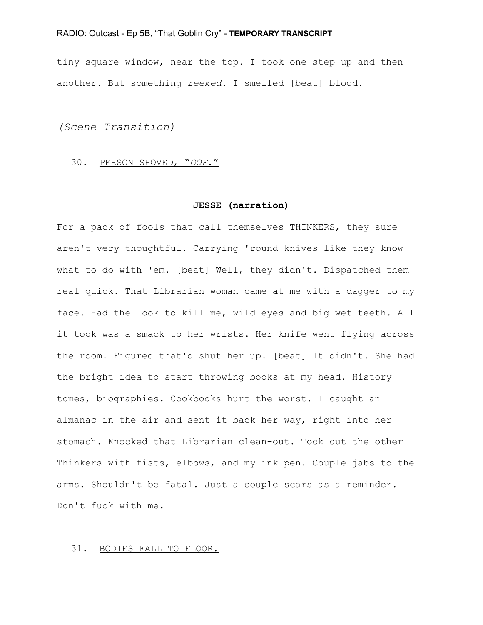tiny square window, near the top. I took one step up and then another. But something *reeked*. I smelled [beat] blood.

*(Scene Transition)*

### 30. PERSON SHOVED, "*OOF*."

#### **JESSE (narration)**

For a pack of fools that call themselves THINKERS, they sure aren't very thoughtful. Carrying 'round knives like they know what to do with 'em. [beat] Well, they didn't. Dispatched them real quick. That Librarian woman came at me with a dagger to my face. Had the look to kill me, wild eyes and big wet teeth. All it took was a smack to her wrists. Her knife went flying across the room. Figured that'd shut her up. [beat] It didn't. She had the bright idea to start throwing books at my head. History tomes, biographies. Cookbooks hurt the worst. I caught an almanac in the air and sent it back her way, right into her stomach. Knocked that Librarian clean-out. Took out the other Thinkers with fists, elbows, and my ink pen. Couple jabs to the arms. Shouldn't be fatal. Just a couple scars as a reminder. Don't fuck with me.

#### 31. BODIES FALL TO FLOOR.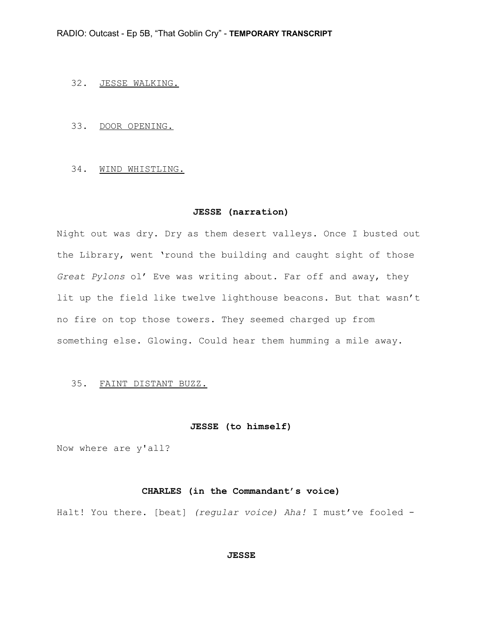## 32. JESSE WALKING.

### 33. DOOR OPENING.

## 34. WIND WHISTLING.

#### **JESSE (narration)**

Night out was dry. Dry as them desert valleys. Once I busted out the Library, went 'round the building and caught sight of those *Great Pylons* ol' Eve was writing about. Far off and away, they lit up the field like twelve lighthouse beacons. But that wasn't no fire on top those towers. They seemed charged up from something else. Glowing. Could hear them humming a mile away.

#### 35. FAINT DISTANT BUZZ.

#### **JESSE (to himself)**

Now where are y'all?

## **CHARLES (in the Commandant's voice)**

Halt! You there. [beat] *(regular voice) Aha!* I must've fooled -

#### **JESSE**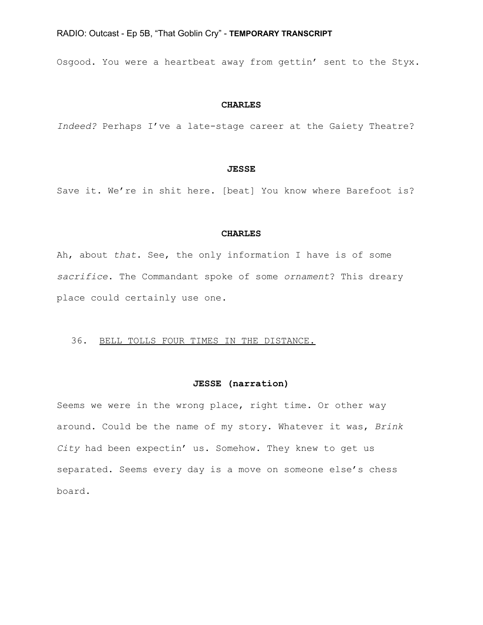Osgood. You were a heartbeat away from gettin' sent to the Styx.

## **CHARLES**

*Indeed?* Perhaps I've a late-stage career at the Gaiety Theatre?

#### **JESSE**

Save it. We're in shit here. [beat] You know where Barefoot is?

### **CHARLES**

Ah, about *that*. See, the only information I have is of some *sacrifice*. The Commandant spoke of some *ornament*? This dreary place could certainly use one.

### 36. BELL TOLLS FOUR TIMES IN THE DISTANCE.

## **JESSE (narration)**

Seems we were in the wrong place, right time. Or other way around. Could be the name of my story. Whatever it was, *Brink City* had been expectin' us. Somehow. They knew to get us separated. Seems every day is a move on someone else's chess board.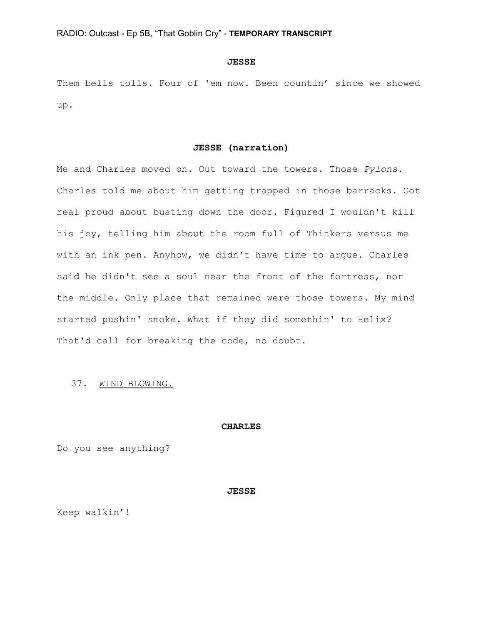#### **JESSE**

Them bells tolls. Four of 'em now. Been countin' since we showed up.

## **JESSE (narration)**

Me and Charles moved on. Out toward the towers. Those *Pylons*. Charles told me about him getting trapped in those barracks. Got real proud about busting down the door. Figured I wouldn't kill his joy, telling him about the room full of Thinkers versus me with an ink pen. Anyhow, we didn't have time to argue. Charles said he didn't see a soul near the front of the fortress, nor the middle. Only place that remained were those towers. My mind started pushin' smoke. What if they did somethin' to Helix? That'd call for breaking the code, no doubt.

## 37. WIND BLOWING.

#### **CHARLES**

Do you see anything?

#### **JESSE**

Keep walkin'!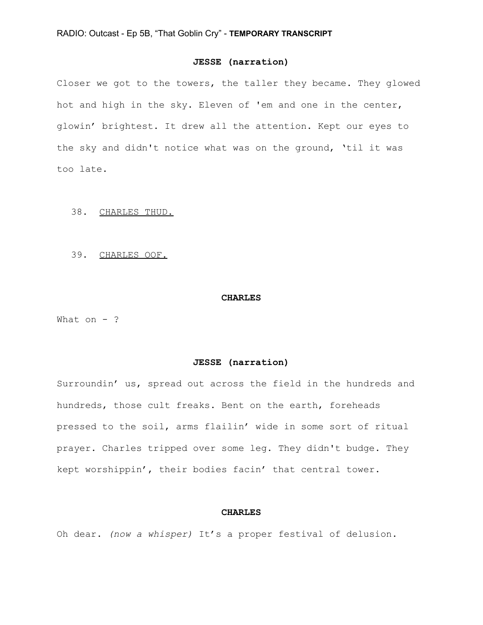## **JESSE (narration)**

Closer we got to the towers, the taller they became. They glowed hot and high in the sky. Eleven of 'em and one in the center, glowin' brightest. It drew all the attention. Kept our eyes to the sky and didn't notice what was on the ground, 'til it was too late.

#### 38. CHARLES THUD.

39. CHARLES OOF.

#### **CHARLES**

What on  $-$  ?

## **JESSE (narration)**

Surroundin' us, spread out across the field in the hundreds and hundreds, those cult freaks. Bent on the earth, foreheads pressed to the soil, arms flailin' wide in some sort of ritual prayer. Charles tripped over some leg. They didn't budge. They kept worshippin', their bodies facin' that central tower.

### **CHARLES**

Oh dear. *(now a whisper)* It's a proper festival of delusion.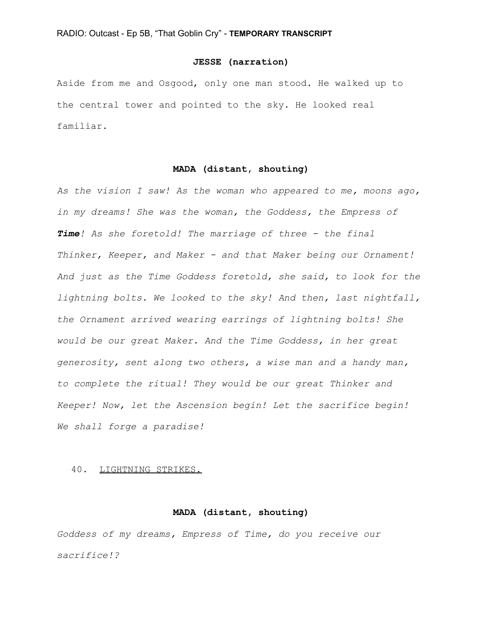## **JESSE (narration)**

Aside from me and Osgood, only one man stood. He walked up to the central tower and pointed to the sky. He looked real familiar.

## **MADA (distant, shouting)**

*As the vision I saw! As the woman who appeared to me, moons ago, in my dreams! She was the woman, the Goddess, the Empress of Time! As she foretold! The marriage of three - the final Thinker, Keeper, and Maker - and that Maker being our Ornament! And just as the Time Goddess foretold, she said, to look for the lightning bolts. We looked to the sky! And then, last nightfall, the Ornament arrived wearing earrings of lightning bolts! She would be our great Maker. And the Time Goddess, in her great generosity, sent along two others, a wise man and a handy man, to complete the ritual! They would be our great Thinker and Keeper! Now, let the Ascension begin! Let the sacrifice begin! We shall forge a paradise!*

### 40. LIGHTNING STRIKES.

### **MADA (distant, shouting)**

*Goddess of my dreams, Empress of Time, do you receive our sacrifice!?*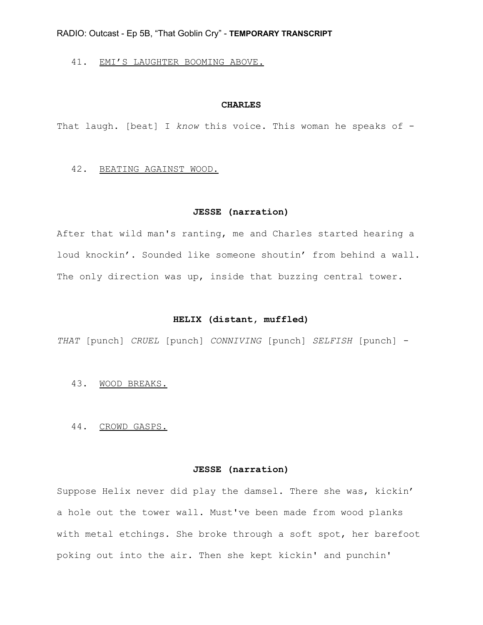41. EMI'S LAUGHTER BOOMING ABOVE.

## **CHARLES**

That laugh. [beat] I *know* this voice. This woman he speaks of -

### 42. BEATING AGAINST WOOD.

#### **JESSE (narration)**

After that wild man's ranting, me and Charles started hearing a loud knockin'. Sounded like someone shoutin' from behind a wall. The only direction was up, inside that buzzing central tower.

## **HELIX (distant, muffled)**

*THAT* [punch] *CRUEL* [punch] *CONNIVING* [punch] *SELFISH* [punch] -

#### 43. WOOD BREAKS.

#### 44. CROWD GASPS.

## **JESSE (narration)**

Suppose Helix never did play the damsel. There she was, kickin' a hole out the tower wall. Must've been made from wood planks with metal etchings. She broke through a soft spot, her barefoot poking out into the air. Then she kept kickin' and punchin'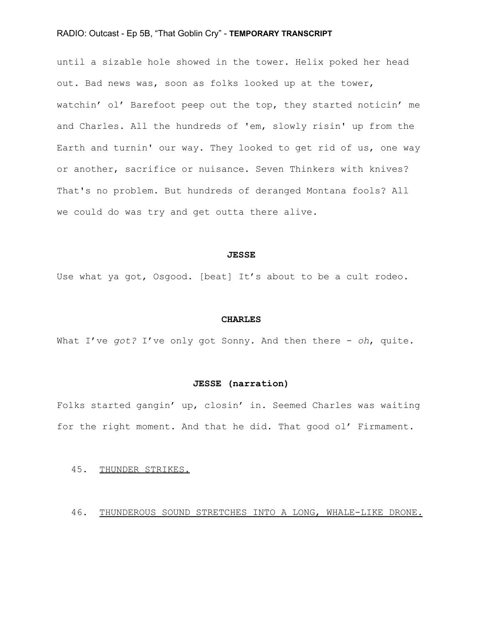until a sizable hole showed in the tower. Helix poked her head out. Bad news was, soon as folks looked up at the tower, watchin' ol' Barefoot peep out the top, they started noticin' me and Charles. All the hundreds of 'em, slowly risin' up from the Earth and turnin' our way. They looked to get rid of us, one way or another, sacrifice or nuisance. Seven Thinkers with knives? That's no problem. But hundreds of deranged Montana fools? All we could do was try and get outta there alive.

#### **JESSE**

Use what ya got, Osgood. [beat] It's about to be a cult rodeo.

#### **CHARLES**

What I've *got?* I've only got Sonny. And then there - *oh*, quite.

# **JESSE (narration)**

Folks started gangin' up, closin' in. Seemed Charles was waiting for the right moment. And that he did. That good ol' Firmament.

## 45. THUNDER STRIKES.

46. THUNDEROUS SOUND STRETCHES INTO A LONG, WHALE-LIKE DRONE.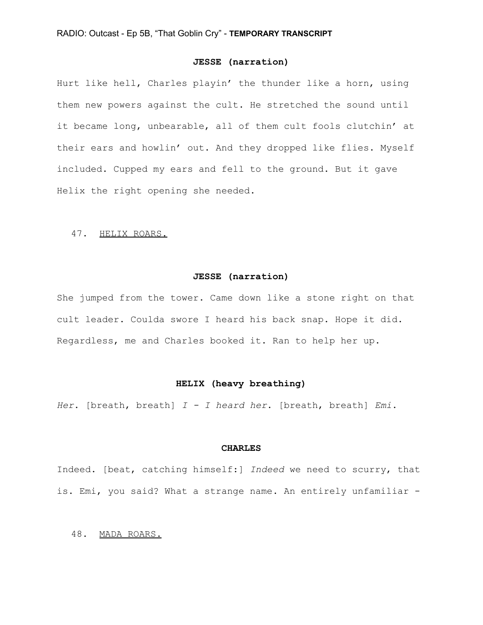## **JESSE (narration)**

Hurt like hell, Charles playin' the thunder like a horn, using them new powers against the cult. He stretched the sound until it became long, unbearable, all of them cult fools clutchin' at their ears and howlin' out. And they dropped like flies. Myself included. Cupped my ears and fell to the ground. But it gave Helix the right opening she needed.

#### 47. HELIX ROARS.

#### **JESSE (narration)**

She jumped from the tower. Came down like a stone right on that cult leader. Coulda swore I heard his back snap. Hope it did. Regardless, me and Charles booked it. Ran to help her up.

### **HELIX (heavy breathing)**

*Her*. [breath, breath] *I - I heard her*. [breath, breath] *Emi*.

#### **CHARLES**

Indeed. [beat, catching himself:] *Indeed* we need to scurry, that is. Emi, you said? What a strange name. An entirely unfamiliar -

48. MADA ROARS.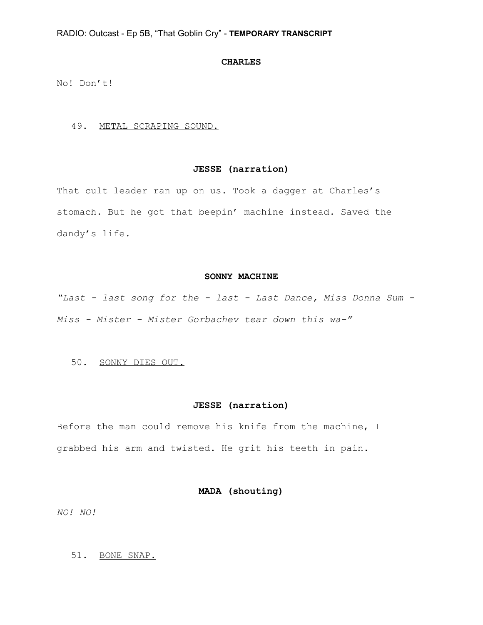## **CHARLES**

No! Don't!

### 49. METAL SCRAPING SOUND.

## **JESSE (narration)**

That cult leader ran up on us. Took a dagger at Charles's stomach. But he got that beepin' machine instead. Saved the dandy's life.

#### **SONNY MACHINE**

*"Last - last song for the - last - Last Dance, Miss Donna Sum - Miss - Mister - Mister Gorbachev tear down this wa-"*

#### 50. SONNY DIES OUT.

## **JESSE (narration)**

Before the man could remove his knife from the machine, I grabbed his arm and twisted. He grit his teeth in pain.

## **MADA (shouting)**

*NO! NO!*

# 51. BONE SNAP.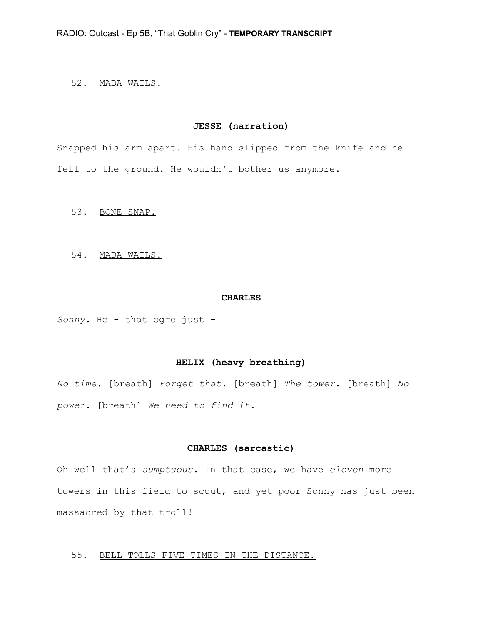## 52. MADA WAILS.

### **JESSE (narration)**

Snapped his arm apart. His hand slipped from the knife and he fell to the ground. He wouldn't bother us anymore.

- 53. BONE SNAP.
- 54. MADA WAILS.

#### **CHARLES**

*Sonny.* He - that ogre just -

## **HELIX (heavy breathing)**

*No time.* [breath] *Forget that.* [breath] *The tower.* [breath] *No power.* [breath] *We need to find it.*

## **CHARLES (sarcastic)**

Oh well that's *sumptuous*. In that case, we have *eleven* more towers in this field to scout, and yet poor Sonny has just been massacred by that troll!

## 55. BELL TOLLS FIVE TIMES IN THE DISTANCE.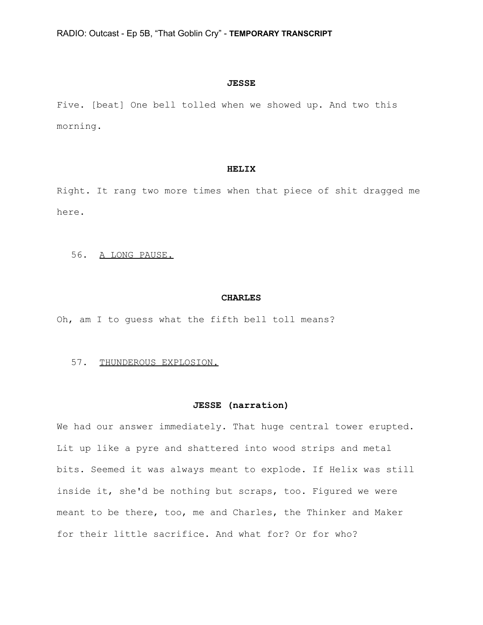#### **JESSE**

Five. [beat] One bell tolled when we showed up. And two this morning.

## **HELIX**

Right. It rang two more times when that piece of shit dragged me here.

56. A LONG PAUSE.

#### **CHARLES**

Oh, am I to guess what the fifth bell toll means?

#### 57. THUNDEROUS EXPLOSION.

### **JESSE (narration)**

We had our answer immediately. That huge central tower erupted. Lit up like a pyre and shattered into wood strips and metal bits. Seemed it was always meant to explode. If Helix was still inside it, she'd be nothing but scraps, too. Figured we were meant to be there, too, me and Charles, the Thinker and Maker for their little sacrifice. And what for? Or for who?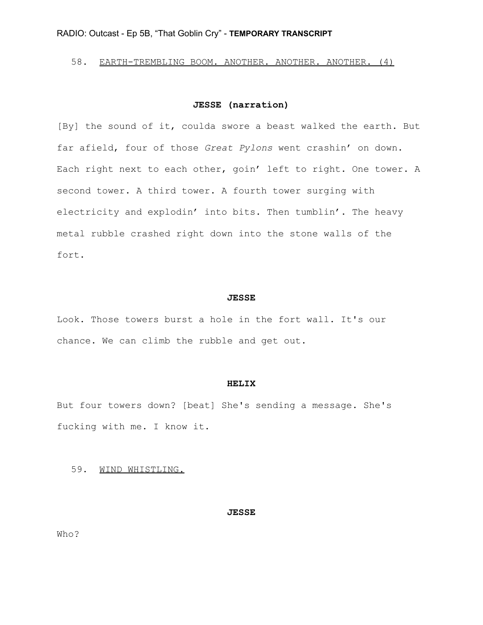## 58. EARTH-TREMBLING BOOM. ANOTHER. ANOTHER. ANOTHER. (4)

## **JESSE (narration)**

[By] the sound of it, coulda swore a beast walked the earth. But far afield, four of those *Great Pylons* went crashin' on down. Each right next to each other, goin' left to right. One tower. A second tower. A third tower. A fourth tower surging with electricity and explodin' into bits. Then tumblin'. The heavy metal rubble crashed right down into the stone walls of the fort.

#### **JESSE**

Look. Those towers burst a hole in the fort wall. It's our chance. We can climb the rubble and get out.

#### **HELIX**

But four towers down? [beat] She's sending a message. She's fucking with me. I know it.

59. WIND WHISTLING.

#### **JESSE**

Who?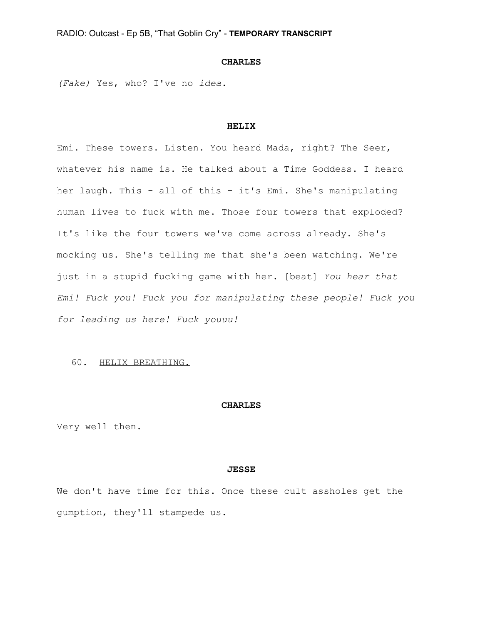### **CHARLES**

*(Fake)* Yes, who? I've no *idea*.

#### **HELIX**

Emi. These towers. Listen. You heard Mada, right? The Seer, whatever his name is. He talked about a Time Goddess. I heard her laugh. This - all of this - it's Emi. She's manipulating human lives to fuck with me. Those four towers that exploded? It's like the four towers we've come across already. She's mocking us. She's telling me that she's been watching. We're just in a stupid fucking game with her. [beat] *You hear that Emi! Fuck you! Fuck you for manipulating these people! Fuck you for leading us here! Fuck youuu!*

#### 60. HELIX BREATHING.

#### **CHARLES**

Very well then.

#### **JESSE**

We don't have time for this. Once these cult assholes get the gumption, they'll stampede us.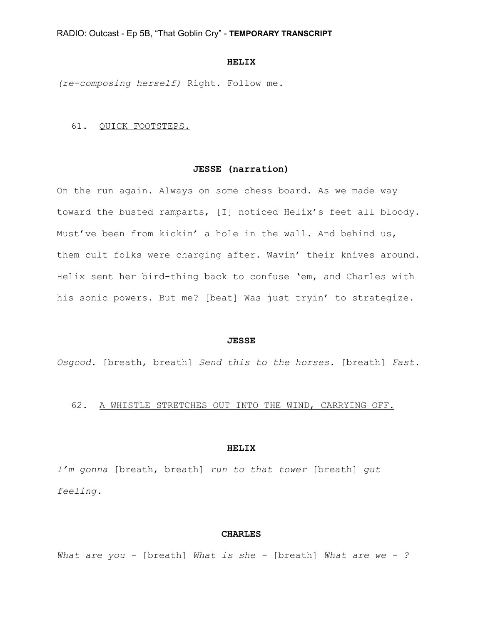#### **HELIX**

*(re-composing herself)* Right. Follow me.

#### 61. QUICK FOOTSTEPS.

## **JESSE (narration)**

On the run again. Always on some chess board. As we made way toward the busted ramparts, [I] noticed Helix's feet all bloody. Must've been from kickin' a hole in the wall. And behind us, them cult folks were charging after. Wavin' their knives around. Helix sent her bird-thing back to confuse 'em, and Charles with his sonic powers. But me? [beat] Was just tryin' to strategize.

#### **JESSE**

*Osgood.* [breath, breath] *Send this to the horses.* [breath] *Fast.*

## 62. A WHISTLE STRETCHES OUT INTO THE WIND, CARRYING OFF.

#### **HELIX**

*I'm gonna* [breath, breath] *run to that tower* [breath] *gut feeling.*

### **CHARLES**

*What are you -* [breath] *What is she -* [breath] *What are we - ?*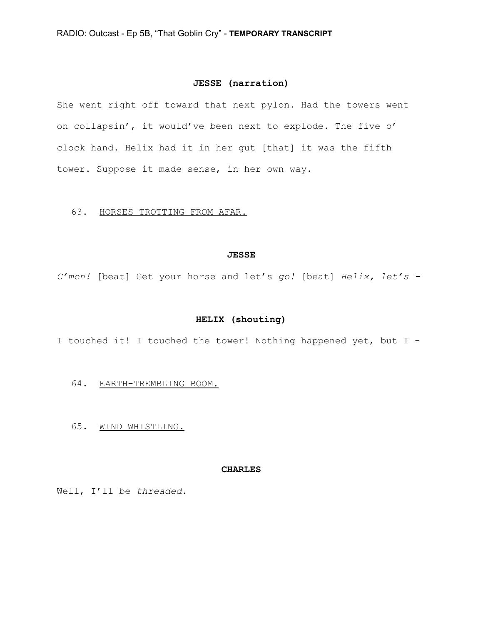### **JESSE (narration)**

She went right off toward that next pylon. Had the towers went on collapsin', it would've been next to explode. The five o' clock hand. Helix had it in her gut [that] it was the fifth tower. Suppose it made sense, in her own way.

## 63. HORSES TROTTING FROM AFAR.

#### **JESSE**

*C'mon!* [beat] Get your horse and let's *go!* [beat] *Helix, let's -*

## **HELIX (shouting)**

I touched it! I touched the tower! Nothing happened yet, but I -

- 64. EARTH-TREMBLING BOOM.
- 65. WIND WHISTLING.

## **CHARLES**

Well, I'll be *threaded*.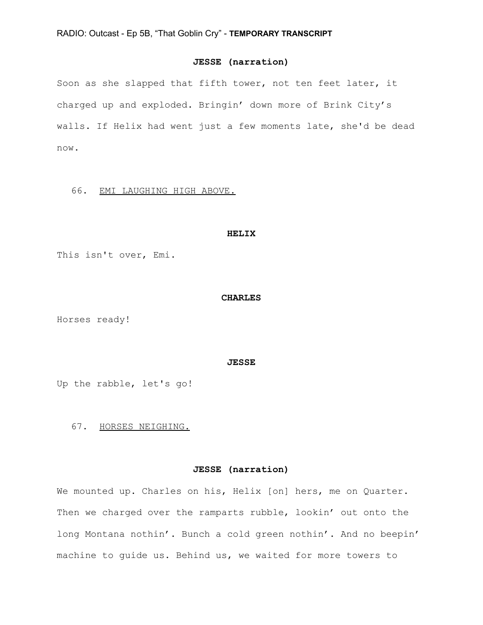## **JESSE (narration)**

Soon as she slapped that fifth tower, not ten feet later, it charged up and exploded. Bringin' down more of Brink City's walls. If Helix had went just a few moments late, she'd be dead now.

## 66. EMI LAUGHING HIGH ABOVE.

#### **HELIX**

This isn't over, Emi.

#### **CHARLES**

Horses ready!

#### **JESSE**

Up the rabble, let's go!

67. HORSES NEIGHING.

## **JESSE (narration)**

We mounted up. Charles on his, Helix [on] hers, me on Quarter. Then we charged over the ramparts rubble, lookin' out onto the long Montana nothin'. Bunch a cold green nothin'. And no beepin' machine to guide us. Behind us, we waited for more towers to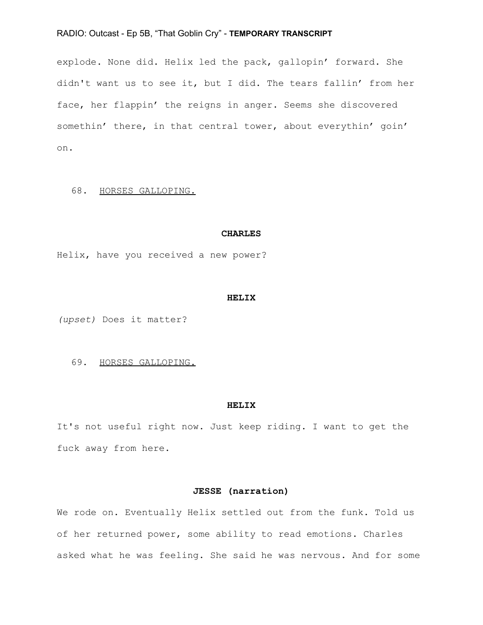explode. None did. Helix led the pack, gallopin' forward. She didn't want us to see it, but I did. The tears fallin' from her face, her flappin' the reigns in anger. Seems she discovered somethin' there, in that central tower, about everythin' goin' on.

## 68. HORSES GALLOPING.

#### **CHARLES**

Helix, have you received a new power?

#### **HELIX**

*(upset)* Does it matter?

### 69. HORSES GALLOPING.

#### **HELIX**

It's not useful right now. Just keep riding. I want to get the fuck away from here.

## **JESSE (narration)**

We rode on. Eventually Helix settled out from the funk. Told us of her returned power, some ability to read emotions. Charles asked what he was feeling. She said he was nervous. And for some